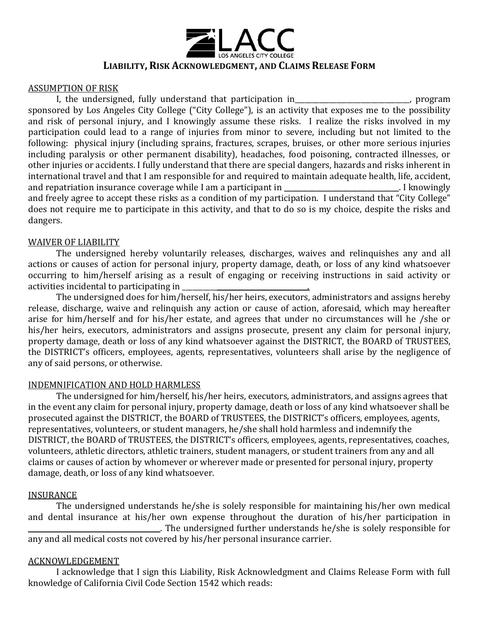

#### ASSUMPTION OF RISK

I, the undersigned, fully understand that participation in\_\_\_\_\_\_\_\_\_\_\_\_\_\_\_\_\_\_\_\_\_\_\_\_\_\_\_, program sponsored by Los Angeles City College ("City College"), is an activity that exposes me to the possibility and risk of personal injury, and I knowingly assume these risks. I realize the risks involved in my participation could lead to a range of injuries from minor to severe, including but not limited to the following: physical injury (including sprains, fractures, scrapes, bruises, or other more serious injuries including paralysis or other permanent disability), headaches, food poisoning, contracted illnesses, or other injuries or accidents. I fully understand that there are special dangers, hazards and risks inherent in international travel and that I am responsible for and required to maintain adequate health, life, accident, and repatriation insurance coverage while I am a participant in \_\_\_\_\_\_\_\_\_\_\_\_\_\_\_\_\_\_\_\_\_\_\_\_\_. I knowingly and freely agree to accept these risks as a condition of my participation. I understand that "City College" does not require me to participate in this activity, and that to do so is my choice, despite the risks and dangers.

### WAIVER OF LIABILITY

The undersigned hereby voluntarily releases, discharges, waives and relinquishes any and all actions or causes of action for personal injury, property damage, death, or loss of any kind whatsoever occurring to him/herself arising as a result of engaging or receiving instructions in said activity or activities incidental to participating in

The undersigned does for him/herself, his/her heirs, executors, administrators and assigns hereby release, discharge, waive and relinquish any action or cause of action, aforesaid, which may hereafter arise for him/herself and for his/her estate, and agrees that under no circumstances will he /she or his/her heirs, executors, administrators and assigns prosecute, present any claim for personal injury, property damage, death or loss of any kind whatsoever against the DISTRICT, the BOARD of TRUSTEES, the DISTRICT's officers, employees, agents, representatives, volunteers shall arise by the negligence of any of said persons, or otherwise.

## INDEMNIFICATION AND HOLD HARMLESS

The undersigned for him/herself, his/her heirs, executors, administrators, and assigns agrees that in the event any claim for personal injury, property damage, death or loss of any kind whatsoever shall be prosecuted against the DISTRICT, the BOARD of TRUSTEES, the DISTRICT's officers, employees, agents, representatives, volunteers, or student managers, he/she shall hold harmless and indemnify the DISTRICT, the BOARD of TRUSTEES, the DISTRICT's officers, employees, agents, representatives, coaches, volunteers, athletic directors, athletic trainers, student managers, or student trainers from any and all claims or causes of action by whomever or wherever made or presented for personal injury, property damage, death, or loss of any kind whatsoever.

#### **INSURANCE**

The undersigned understands he/she is solely responsible for maintaining his/her own medical and dental insurance at his/her own expense throughout the duration of his/her participation in . The undersigned further understands he/she is solely responsible for any and all medical costs not covered by his/her personal insurance carrier.

## ACKNOWLEDGEMENT

I acknowledge that I sign this Liability, Risk Acknowledgment and Claims Release Form with full knowledge of California Civil Code Section 1542 which reads: